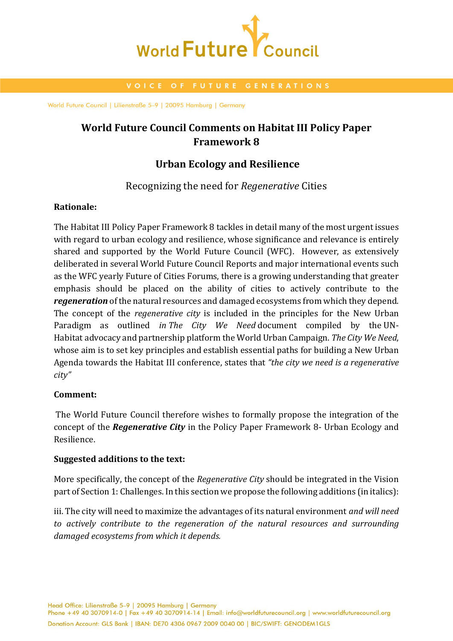

# **World Future Council Comments on Habitat III Policy Paper Framework 8**

## **Urban Ecology and Resilience**

## Recognizing the need for *Regenerative* Cities

### **Rationale:**

The Habitat III Policy Paper Framework 8 tackles in detail many of the most urgent issues with regard to urban ecology and resilience, whose significance and relevance is entirely shared and supported by the World Future Council (WFC). However, as extensively deliberated in several World Future Council Reports and major international events such as the WFC yearly Future of Cities Forums, there is a growing understanding that greater emphasis should be placed on the ability of cities to actively contribute to the *regeneration* of the natural resources and damaged ecosystems from which they depend. The concept of the *regenerative city* is included in the principles for the New Urban Paradigm as outlined *in The City We Need* document compiled by the [UN-](https://en.wikipedia.org/wiki/UN-HABITAT)[Habitat](https://en.wikipedia.org/wiki/UN-HABITAT) advocacy and partnership platform the World Urban Campaign. *The City We Need*, whose aim is to set key principles and establish essential paths for building a New Urban Agenda towards the Habitat III conference, states that *"the city we need is a regenerative city"*

### **Comment:**

The World Future Council therefore wishes to formally propose the integration of the concept of the *Regenerative City* in the Policy Paper Framework 8- Urban Ecology and Resilience.

### **Suggested additions to the text:**

More specifically, the concept of the *Regenerative City* should be integrated in the Vision part of Section 1: Challenges. In this section we propose the following additions (in italics):

iii. The city will need to maximize the advantages of its natural environment *and will need to actively contribute to the regeneration of the natural resources and surrounding damaged ecosystems from which it depends.* 

Head Office: Lilienstraße 5-9 | 20095 Hamburg | Germany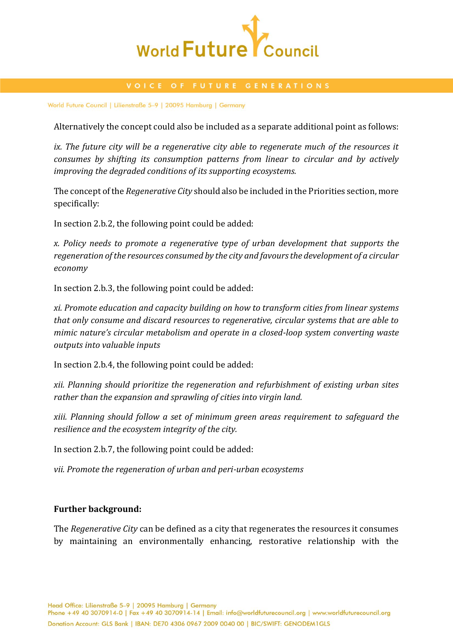

Alternatively the concept could also be included as a separate additional point as follows:

*ix. The future city will be a regenerative city able to regenerate much of the resources it consumes by shifting its consumption patterns from linear to circular and by actively improving the degraded conditions of its supporting ecosystems.* 

The concept of the *Regenerative City* should also be included in the Priorities section, more specifically:

In section 2.b.2, the following point could be added:

*x. Policy needs to promote a regenerative type of urban development that supports the regeneration of the resources consumed by the city and favours the development of a circular economy* 

In section 2.b.3, the following point could be added:

*xi. Promote education and capacity building on how to transform cities from linear systems that only consume and discard resources to regenerative, circular systems that are able to mimic nature's circular metabolism and operate in a closed-loop system converting waste outputs into valuable inputs*

In section 2.b.4, the following point could be added:

*xii. Planning should prioritize the regeneration and refurbishment of existing urban sites rather than the expansion and sprawling of cities into virgin land.* 

*xiii. Planning should follow a set of minimum green areas requirement to safeguard the resilience and the ecosystem integrity of the city.* 

In section 2.b.7, the following point could be added:

*vii. Promote the regeneration of urban and peri-urban ecosystems*

### **Further background:**

The *Regenerative City* can be defined as a city that regenerates the resources it consumes by maintaining an environmentally enhancing, restorative relationship with the

Head Office: Lilienstraße 5-9 | 20095 Hamburg | Germany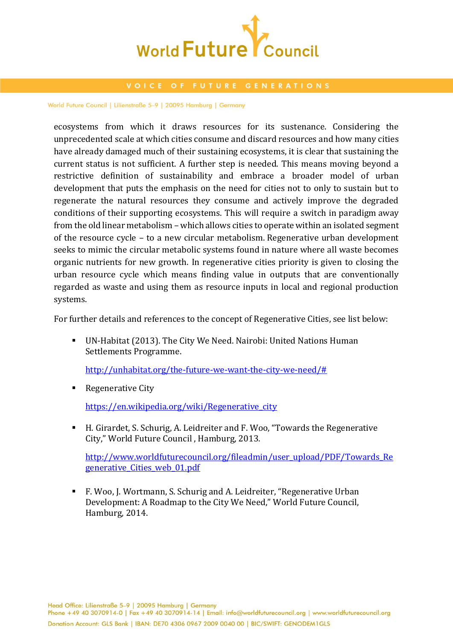

ecosystems from which it draws resources for its sustenance. Considering the unprecedented scale at which cities consume and discard resources and how many cities have already damaged much of their sustaining ecosystems, it is clear that sustaining the current status is not sufficient. A further step is needed. This means moving beyond a restrictive definition of sustainability and embrace a broader model of urban development that puts the emphasis on the need for cities not to only to sustain but to regenerate the natural resources they consume and actively improve the degraded conditions of their supporting ecosystems. This will require a switch in [paradigm](https://en.wikipedia.org/wiki/Paradigm) away from the old linear metabolism – which allows cities to operate within an isolated segment of the resource cycle – to a new circular metabolism. Regenerative urban development seeks to mimic the circular metabolic systems found in nature where all waste becomes organic nutrients for new growth. In regenerative cities priority is given to closing the urban resource cycle which means finding value in outputs that are conventionally regarded as waste and using them as resource inputs in local and regional production systems.

For further details and references to the concept of Regenerative Cities, see list below:

 UN-Habitat (2013). The City We Need. Nairobi: United Nations Human Settlements Programme.

[http://unhabitat.org/the-future-we-want-the-city-we-need/#](http://unhabitat.org/the-future-we-want-the-city-we-need/)

Regenerative City

[https://en.wikipedia.org/wiki/Regenerative\\_city](https://en.wikipedia.org/wiki/Regenerative_city)

 H. Girardet, S. Schurig, A. Leidreiter and F. Woo, "Towards the Regenerative City," World Future Council , Hamburg, 2013.

[http://www.worldfuturecouncil.org/fileadmin/user\\_upload/PDF/Towards\\_Re](http://www.worldfuturecouncil.org/fileadmin/user_upload/PDF/Towards_Regenerative_Cities_web_01.pdf) generative Cities web 01.pdf

 F. Woo, J. Wortmann, S. Schurig and A. Leidreiter, "Regenerative Urban Development: A Roadmap to the City We Need," World Future Council, Hamburg, 2014.